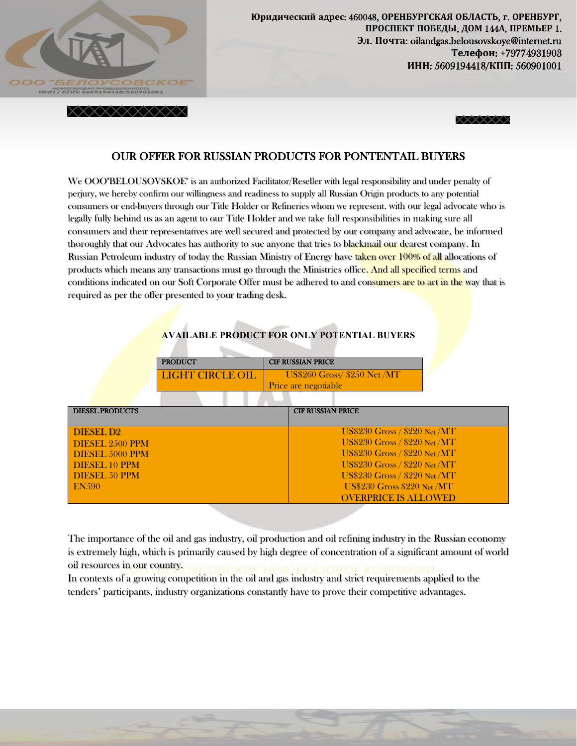

 **ʬˎ**. **ʞˑ˚˕˃**: oilandgas.belousovskoye@internet.ru Юридический адрес: 460048, ОРЕНБУРГСКАЯ ОБЛАСТЬ, г. ОРЕНБУРГ, ПРОСПЕКТ ПОБЕДЫ, ДОМ 144А, ПРЕМЬЕР 1. Телефон: +79774931903 ИНН: 5609194418/КПП: 560901001





## OUR OFFER FOR RUSSIAN PRODUCTS FOR PONTENTAIL BUYERS

We OOO"BELOUSOVSKOE" is an authorized Facilitator/Reseller with legal responsibility and under penalty of perjury, we hereby confirm our willingness and readiness to supply all Russian Origin products to any potential consumers or end-buyers through our Title Holder or Refineries whom we represent. with our legal advocate who is legally fully behind us as an agent to our Title Holder and we take full responsibilities in making sure all consumers and their representatives are well secured and protected by our company and advocate, be informed thoroughly that our Advocates has authority to sue anyone that tries to blackmail our dearest company. In Russian Petroleum industry of today the Russian Ministry of Energy have taken over 100% of all allocations of products which means any transactions must go through the Ministries office. And all specified terms and conditions indicated on our Soft Corporate Offer must be adhered to and consumers are to act in the way that is required as per the offer presented to your trading desk.

|  |  | <b>AVAILABLE PRODUCT FOR ONLY POTENTIAL BUYERS</b> |
|--|--|----------------------------------------------------|
|--|--|----------------------------------------------------|

| <b>PRODUCT</b>   | <b>CIF RUSSIAN PRICE</b>     |
|------------------|------------------------------|
| LIGHT CIRCLE OIL | US\$260 Gross/ \$250 Net /MT |
|                  | Price are negotiable         |

| <b>DIESEL PRODUCTS</b> | <b>CIF RUSSIAN PRICE</b>             |
|------------------------|--------------------------------------|
| <b>DIESEL D2</b>       | $US$230$ Gross / $$220$ Net /MT      |
| DIESEL 2500 PPM        | <b>US\$230 Gross / \$220 Net /MT</b> |
| DIESEL 5000 PPM        | <b>US\$230 Gross / \$220 Net /MT</b> |
| <b>DIESEL 10 PPM</b>   | <b>US\$230 Gross / \$220 Net /MT</b> |
| <b>DIESEL 50 PPM</b>   | <b>US\$230 Gross / \$220 Net /MT</b> |
| EN.590                 | <b>US\$230 Gross \$220 Net /MT</b>   |
|                        | <b>OVERPRICE IS ALLOWED</b>          |

The importance of the oil and gas industry, oil production and oil refining industry in the Russian economy is extremely high, which is primarily caused by high degree of concentration of a significant amount of world oil resources in our country.

In contexts of a growing competition in the oil and gas industry and strict requirements applied to the tenders' participants, industry organizations constantly have to prove their competitive advantages.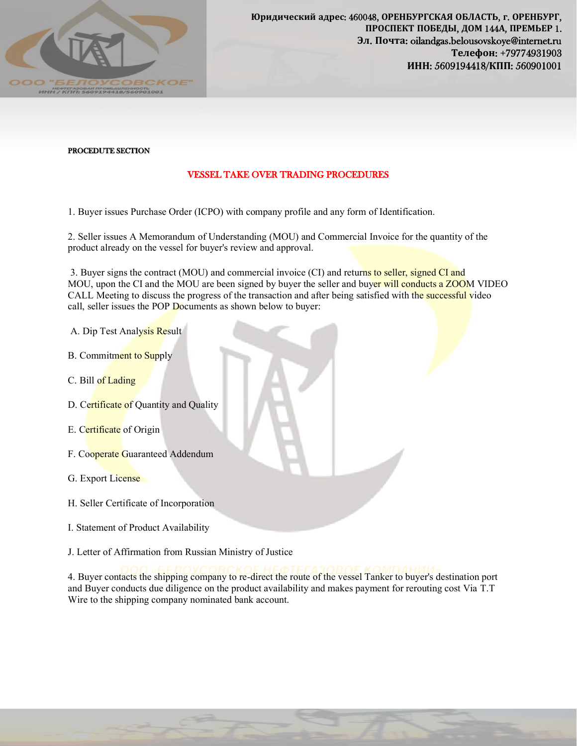

## PROCEDUTE SECTION

## VESSEL TAKE OVER TRADING PROCEDURES

1. Buyer issues Purchase Order (ICPO) with company profile and any form of Identification.

2. Seller issues A Memorandum of Understanding (MOU) and Commercial Invoice for the quantity of the product already on the vessel for buyer's review and approval.

3. Buyer signs the contract (MOU) and commercial invoice (CI) and returns to seller, signed CI and MOU, upon the CI and the MOU are been signed by buyer the seller and buyer will conducts a ZOOM VIDEO CALL Meeting to discuss the progress of the transaction and after being satisfied with the successful video call, seller issues the POP Documents as shown below to buyer:

- A. Dip Test Analysis Result
- B. Commitment to Supply
- C. Bill of Lading
- D. Certificate of Quantity and Quality
- E. Certificate of Origin
- F. Cooperate Guaranteed Addendum
- G. Export License
- H. Seller Certificate of Incorporation
- I. Statement of Product Availability
- J. Letter of Affirmation from Russian Ministry of Justice

4. Buyer contacts the shipping company to re-direct the route of the vessel Tanker to buyer's destination port and Buyer conducts due diligence on the product availability and makes payment for rerouting cost Via T.T Wire to the shipping company nominated bank account.